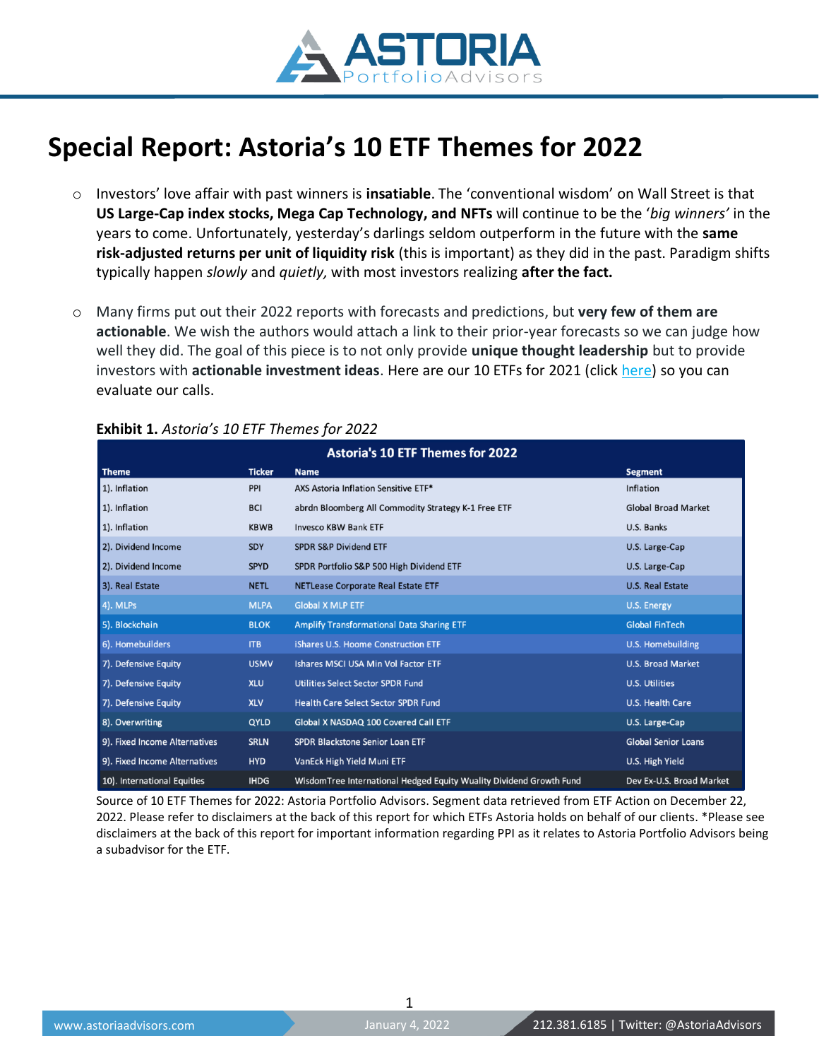

# **Special Report: Astoria's 10 ETF Themes for 2022**

- o Investors' love affair with past winners is **insatiable**. The 'conventional wisdom' on Wall Street is that **US Large-Cap index stocks, Mega Cap Technology, and NFTs** will continue to be the '*big winners'* in the years to come. Unfortunately, yesterday's darlings seldom outperform in the future with the **same risk-adjusted returns per unit of liquidity risk** (this is important) as they did in the past. Paradigm shifts typically happen *slowly* and *quietly,* with most investors realizing **after the fact.**
- o Many firms put out their 2022 reports with forecasts and predictions, but **very few of them are actionable**. We wish the authors would attach a link to their prior-year forecasts so we can judge how well they did. The goal of this piece is to not only provide **unique thought leadership** but to provide investors with **actionable investment ideas**. Here are our 10 ETFs for 2021 (click [here\)](https://f2fc89ac-3bf7-44c8-83e2-1d7c9b16c881.filesusr.com/ugd/d9022d_0763840dbdea46a6aadca3837756104e.pdf) so you can evaluate our calls.

| <b>Astoria's 10 ETF Themes for 2022</b> |               |                                                                      |                            |  |  |
|-----------------------------------------|---------------|----------------------------------------------------------------------|----------------------------|--|--|
| <b>Theme</b>                            | <b>Ticker</b> | <b>Name</b>                                                          | <b>Segment</b>             |  |  |
| 1). Inflation                           | PPI           | AXS Astoria Inflation Sensitive ETF*                                 | Inflation                  |  |  |
| 1). Inflation                           | <b>BCI</b>    | abrdn Bloomberg All Commodity Strategy K-1 Free ETF                  | <b>Global Broad Market</b> |  |  |
| 1). Inflation                           | <b>KBWB</b>   | <b>Invesco KBW Bank ETF</b>                                          | U.S. Banks                 |  |  |
| 2). Dividend Income                     | <b>SDY</b>    | <b>SPDR S&amp;P Dividend ETF</b>                                     | U.S. Large-Cap             |  |  |
| 2). Dividend Income                     | <b>SPYD</b>   | SPDR Portfolio S&P 500 High Dividend ETF                             | U.S. Large-Cap             |  |  |
| 3). Real Estate                         | <b>NETL</b>   | <b>NETLease Corporate Real Estate ETF</b>                            | <b>U.S. Real Estate</b>    |  |  |
| 4). MLPs                                | <b>MLPA</b>   | <b>Global X MLP ETF</b>                                              | <b>U.S. Energy</b>         |  |  |
| 5). Blockchain                          | <b>BLOK</b>   | <b>Amplify Transformational Data Sharing ETF</b>                     | <b>Global FinTech</b>      |  |  |
| 6). Homebuilders                        | <b>ITB</b>    | <b>iShares U.S. Hoome Construction ETF</b>                           | <b>U.S. Homebuilding</b>   |  |  |
| 7). Defensive Equity                    | <b>USMV</b>   | Ishares MSCI USA Min Vol Factor ETF                                  | <b>U.S. Broad Market</b>   |  |  |
| 7). Defensive Equity                    | <b>XLU</b>    | <b>Utilities Select Sector SPDR Fund</b>                             | <b>U.S. Utilities</b>      |  |  |
| 7). Defensive Equity                    | <b>XLV</b>    | <b>Health Care Select Sector SPDR Fund</b>                           | <b>U.S. Health Care</b>    |  |  |
| 8). Overwriting                         | <b>QYLD</b>   | Global X NASDAQ 100 Covered Call ETF                                 | U.S. Large-Cap             |  |  |
| 9). Fixed Income Alternatives           | <b>SRLN</b>   | SPDR Blackstone Senior Loan ETF                                      | <b>Global Senior Loans</b> |  |  |
| 9). Fixed Income Alternatives           | <b>HYD</b>    | VanEck High Yield Muni ETF                                           | U.S. High Yield            |  |  |
| 10). International Equities             | <b>IHDG</b>   | Wisdom Tree International Hedged Equity Wuality Dividend Growth Fund | Dev Ex-U.S. Broad Market   |  |  |

#### **Exhibit 1.** *Astoria's 10 ETF Themes for 2022*

Source of 10 ETF Themes for 2022: Astoria Portfolio Advisors. Segment data retrieved from ETF Action on December 22, 2022. Please refer to disclaimers at the back of this report for which ETFs Astoria holds on behalf of our clients. \*Please see disclaimers at the back of this report for important information regarding PPI as it relates to Astoria Portfolio Advisors being a subadvisor for the ETF.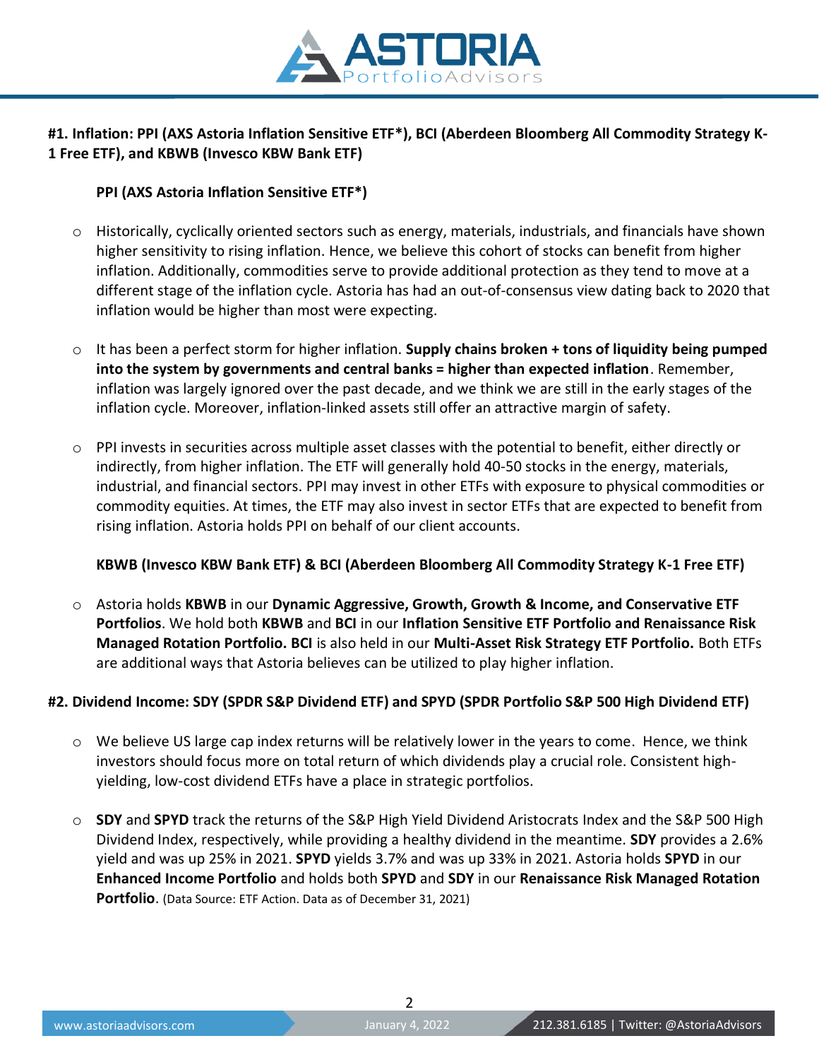

# **#1. Inflation: PPI (AXS Astoria Inflation Sensitive ETF\*), BCI (Aberdeen Bloomberg All Commodity Strategy K-1 Free ETF), and KBWB (Invesco KBW Bank ETF)**

#### **PPI (AXS Astoria Inflation Sensitive ETF\*)**

- o Historically, cyclically oriented sectors such as energy, materials, industrials, and financials have shown higher sensitivity to rising inflation. Hence, we believe this cohort of stocks can benefit from higher inflation. Additionally, commodities serve to provide additional protection as they tend to move at a different stage of the inflation cycle. Astoria has had an out-of-consensus view dating back to 2020 that inflation would be higher than most were expecting.
- o It has been a perfect storm for higher inflation. **Supply chains broken + tons of liquidity being pumped into the system by governments and central banks = higher than expected inflation**. Remember, inflation was largely ignored over the past decade, and we think we are still in the early stages of the inflation cycle. Moreover, inflation-linked assets still offer an attractive margin of safety.
- $\circ$  PPI invests in securities across multiple asset classes with the potential to benefit, either directly or indirectly, from higher inflation. The ETF will generally hold 40-50 stocks in the energy, materials, industrial, and financial sectors. PPI may invest in other ETFs with exposure to physical commodities or commodity equities. At times, the ETF may also invest in sector ETFs that are expected to benefit from rising inflation. Astoria holds PPI on behalf of our client accounts.

#### **KBWB (Invesco KBW Bank ETF) & BCI (Aberdeen Bloomberg All Commodity Strategy K-1 Free ETF)**

o Astoria holds **KBWB** in our **Dynamic Aggressive, Growth, Growth & Income, and Conservative ETF Portfolios**. We hold both **KBWB** and **BCI** in our **Inflation Sensitive ETF Portfolio and Renaissance Risk Managed Rotation Portfolio. BCI** is also held in our **Multi-Asset Risk Strategy ETF Portfolio.** Both ETFs are additional ways that Astoria believes can be utilized to play higher inflation.

### **#2. Dividend Income: SDY (SPDR S&P Dividend ETF) and SPYD (SPDR Portfolio S&P 500 High Dividend ETF)**

- $\circ$  We believe US large cap index returns will be relatively lower in the years to come. Hence, we think investors should focus more on total return of which dividends play a crucial role. Consistent highyielding, low-cost dividend ETFs have a place in strategic portfolios.
- o **SDY** and **SPYD** track the returns of the S&P High Yield Dividend Aristocrats Index and the S&P 500 High Dividend Index, respectively, while providing a healthy dividend in the meantime. **SDY** provides a 2.6% yield and was up 25% in 2021. **SPYD** yields 3.7% and was up 33% in 2021. Astoria holds **SPYD** in our **Enhanced Income Portfolio** and holds both **SPYD** and **SDY** in our **Renaissance Risk Managed Rotation Portfolio**. (Data Source: ETF Action. Data as of December 31, 2021)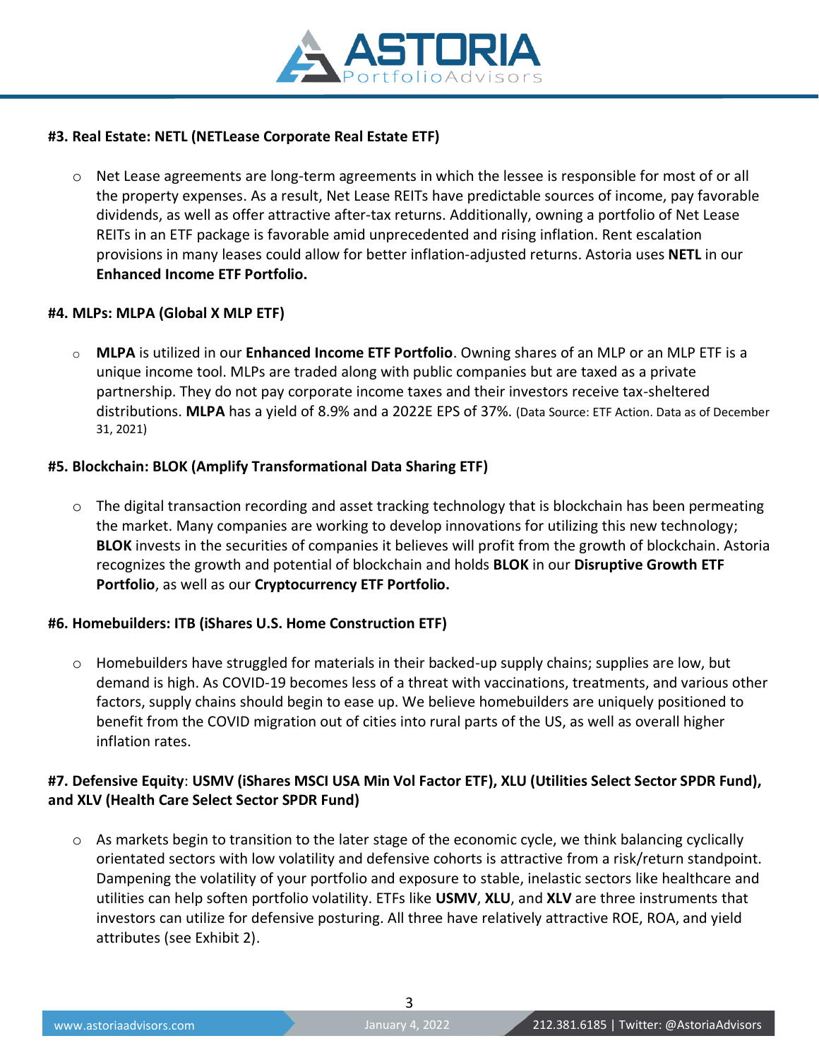

## **#3. Real Estate: NETL (NETLease Corporate Real Estate ETF)**

 $\circ$  Net Lease agreements are long-term agreements in which the lessee is responsible for most of or all the property expenses. As a result, Net Lease REITs have predictable sources of income, pay favorable dividends, as well as offer attractive after-tax returns. Additionally, owning a portfolio of Net Lease REITs in an ETF package is favorable amid unprecedented and rising inflation. Rent escalation provisions in many leases could allow for better inflation-adjusted returns. Astoria uses **NETL** in our **Enhanced Income ETF Portfolio.**

#### **#4. MLPs: MLPA (Global X MLP ETF)**

o **MLPA** is utilized in our **Enhanced Income ETF Portfolio**. Owning shares of an MLP or an MLP ETF is a unique income tool. MLPs are traded along with public companies but are taxed as a private partnership. They do not pay corporate income taxes and their investors receive tax-sheltered distributions. **MLPA** has a yield of 8.9% and a 2022E EPS of 37%. (Data Source: ETF Action. Data as of December 31, 2021)

### **#5. Blockchain: BLOK (Amplify Transformational Data Sharing ETF)**

 $\circ$  The digital transaction recording and asset tracking technology that is blockchain has been permeating the market. Many companies are working to develop innovations for utilizing this new technology; **BLOK** invests in the securities of companies it believes will profit from the growth of blockchain. Astoria recognizes the growth and potential of blockchain and holds **BLOK** in our **Disruptive Growth ETF Portfolio**, as well as our **Cryptocurrency ETF Portfolio.**

### **#6. Homebuilders: ITB (iShares U.S. Home Construction ETF)**

 $\circ$  Homebuilders have struggled for materials in their backed-up supply chains; supplies are low, but demand is high. As COVID-19 becomes less of a threat with vaccinations, treatments, and various other factors, supply chains should begin to ease up. We believe homebuilders are uniquely positioned to benefit from the COVID migration out of cities into rural parts of the US, as well as overall higher inflation rates.

## **#7. Defensive Equity**: **USMV (iShares MSCI USA Min Vol Factor ETF), XLU (Utilities Select Sector SPDR Fund), and XLV (Health Care Select Sector SPDR Fund)**

 $\circ$  As markets begin to transition to the later stage of the economic cycle, we think balancing cyclically orientated sectors with low volatility and defensive cohorts is attractive from a risk/return standpoint. Dampening the volatility of your portfolio and exposure to stable, inelastic sectors like healthcare and utilities can help soften portfolio volatility. ETFs like **USMV**, **XLU**, and **XLV** are three instruments that investors can utilize for defensive posturing. All three have relatively attractive ROE, ROA, and yield attributes (see Exhibit 2).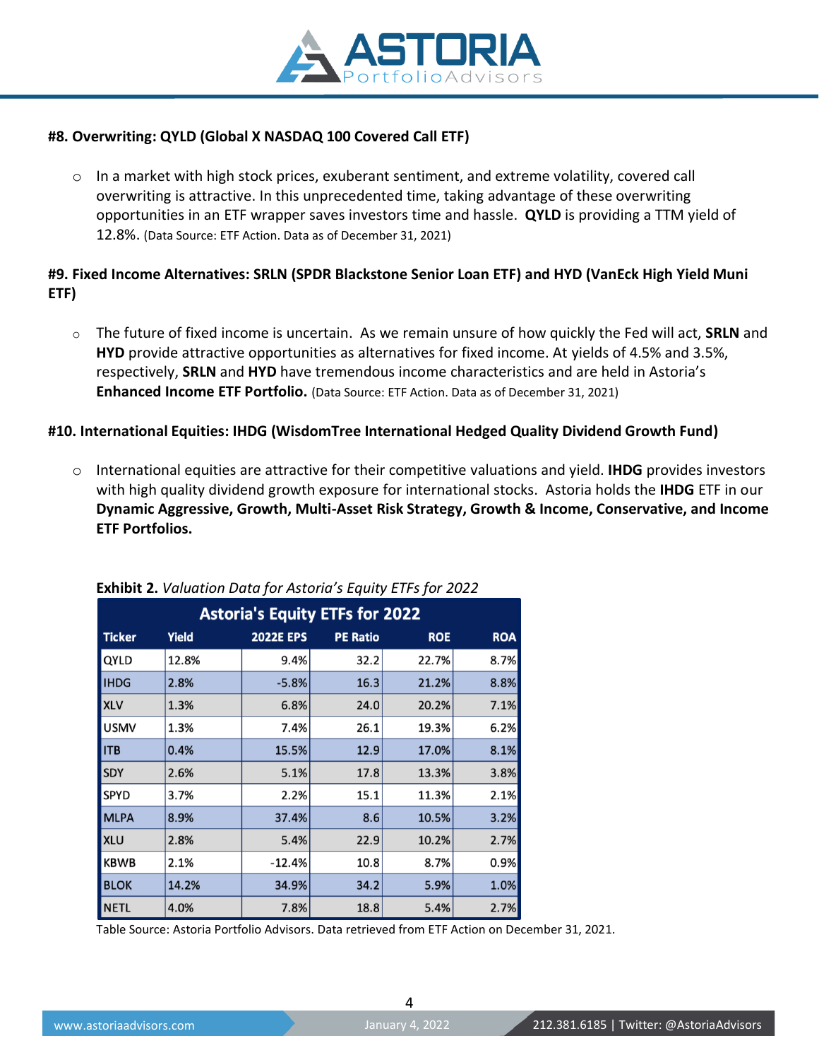

## **#8. Overwriting: QYLD (Global X NASDAQ 100 Covered Call ETF)**

 $\circ$  In a market with high stock prices, exuberant sentiment, and extreme volatility, covered call overwriting is attractive. In this unprecedented time, taking advantage of these overwriting opportunities in an ETF wrapper saves investors time and hassle. **QYLD** is providing a TTM yield of 12.8%. (Data Source: ETF Action. Data as of December 31, 2021)

## **#9. Fixed Income Alternatives: SRLN (SPDR Blackstone Senior Loan ETF) and HYD (VanEck High Yield Muni ETF)**

o The future of fixed income is uncertain. As we remain unsure of how quickly the Fed will act, **SRLN** and **HYD** provide attractive opportunities as alternatives for fixed income. At yields of 4.5% and 3.5%, respectively, **SRLN** and **HYD** have tremendous income characteristics and are held in Astoria's **Enhanced Income ETF Portfolio.** (Data Source: ETF Action. Data as of December 31, 2021)

### **#10. International Equities: IHDG (WisdomTree International Hedged Quality Dividend Growth Fund)**

o International equities are attractive for their competitive valuations and yield. **IHDG** provides investors with high quality dividend growth exposure for international stocks. Astoria holds the **IHDG** ETF in our **Dynamic Aggressive, Growth, Multi-Asset Risk Strategy, Growth & Income, Conservative, and Income ETF Portfolios.** 

| <b>Astoria's Equity ETFs for 2022</b> |              |                  |                 |            |            |
|---------------------------------------|--------------|------------------|-----------------|------------|------------|
| <b>Ticker</b>                         | <b>Yield</b> | <b>2022E EPS</b> | <b>PE Ratio</b> | <b>ROE</b> | <b>ROA</b> |
| QYLD                                  | 12.8%        | 9.4%             | 32.2            | 22.7%      | 8.7%       |
| <b>IHDG</b>                           | 2.8%         | $-5.8%$          | 16.3            | 21.2%      | 8.8%       |
| <b>XLV</b>                            | 1.3%         | 6.8%             | 24.0            | 20.2%      | 7.1%       |
| <b>USMV</b>                           | 1.3%         | 7.4%             | 26.1            | 19.3%      | 6.2%       |
| <b>ITB</b>                            | 0.4%         | 15.5%            | 12.9            | 17.0%      | 8.1%       |
| SDY                                   | 2.6%         | 5.1%             | 17.8            | 13.3%      | 3.8%       |
| <b>SPYD</b>                           | 3.7%         | 2.2%             | 15.1            | 11.3%      | 2.1%       |
| <b>MLPA</b>                           | 8.9%         | 37.4%            | 8.6             | 10.5%      | 3.2%       |
| <b>XLU</b>                            | 2.8%         | 5.4%             | 22.9            | 10.2%      | 2.7%       |
| <b>KBWB</b>                           | 2.1%         | $-12.4%$         | 10.8            | 8.7%       | 0.9%       |
| <b>BLOK</b>                           | 14.2%        | 34.9%            | 34.2            | 5.9%       | 1.0%       |
| <b>NETL</b>                           | 4.0%         | 7.8%             | 18.8            | 5.4%       | 2.7%       |

### **Exhibit 2.** *Valuation Data for Astoria's Equity ETFs for 2022*

Table Source: Astoria Portfolio Advisors. Data retrieved from ETF Action on December 31, 2021.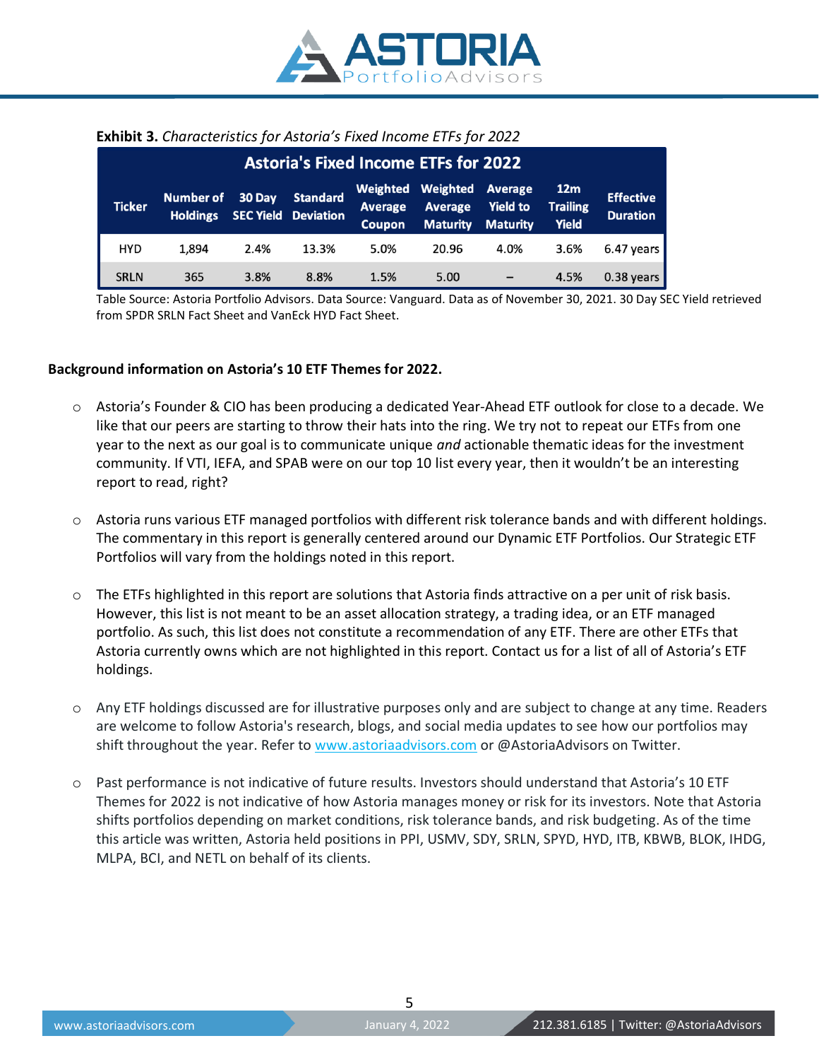

| <b>Astoria's Fixed Income ETFs for 2022</b> |                           |      |                                     |                          |                                                       |                                  |                     |                                     |
|---------------------------------------------|---------------------------|------|-------------------------------------|--------------------------|-------------------------------------------------------|----------------------------------|---------------------|-------------------------------------|
| <b>Ticker</b>                               | Number of 30 Day Standard |      | <b>Holdings SEC Yield Deviation</b> | Average<br><b>Coupon</b> | Weighted Weighted Average<br><b>Maturity Maturity</b> | <b>Average Yield to Trailing</b> | 12m<br><b>Yield</b> | <b>Effective</b><br><b>Duration</b> |
| HYD                                         | 1.894                     | 2.4% | 13.3%                               | 5.0%                     | 20.96                                                 | 4.0%                             | 3.6%                | $6.47$ years                        |
| <b>SRLN</b>                                 | 365                       | 3.8% | 8.8%                                | 1.5%                     | 5.00                                                  |                                  | 4.5%                | $0.38$ years                        |

| Exhibit 3. Characteristics for Astoria's Fixed Income ETFs for 2022 |  |  |
|---------------------------------------------------------------------|--|--|
|---------------------------------------------------------------------|--|--|

Table Source: Astoria Portfolio Advisors. Data Source: Vanguard. Data as of November 30, 2021. 30 Day SEC Yield retrieved from SPDR SRLN Fact Sheet and VanEck HYD Fact Sheet.

#### **Background information on Astoria's 10 ETF Themes for 2022.**

- o Astoria's Founder & CIO has been producing a dedicated Year-Ahead ETF outlook for close to a decade. We like that our peers are starting to throw their hats into the ring. We try not to repeat our ETFs from one year to the next as our goal is to communicate unique *and* actionable thematic ideas for the investment community. If VTI, IEFA, and SPAB were on our top 10 list every year, then it wouldn't be an interesting report to read, right?
- $\circ$  Astoria runs various ETF managed portfolios with different risk tolerance bands and with different holdings. The commentary in this report is generally centered around our Dynamic ETF Portfolios. Our Strategic ETF Portfolios will vary from the holdings noted in this report.
- o The ETFs highlighted in this report are solutions that Astoria finds attractive on a per unit of risk basis. However, this list is not meant to be an asset allocation strategy, a trading idea, or an ETF managed portfolio. As such, this list does not constitute a recommendation of any ETF. There are other ETFs that Astoria currently owns which are not highlighted in this report. Contact us for a list of all of Astoria's ETF holdings.
- o Any ETF holdings discussed are for illustrative purposes only and are subject to change at any time. Readers are welcome to follow Astoria's research, blogs, and social media updates to see how our portfolios may shift throughout the year. Refer to [www.astoriaadvisors.com](http://www.astoriaadvisors.com/) or @AstoriaAdvisors on Twitter.
- o Past performance is not indicative of future results. Investors should understand that Astoria's 10 ETF Themes for 2022 is not indicative of how Astoria manages money or risk for its investors. Note that Astoria shifts portfolios depending on market conditions, risk tolerance bands, and risk budgeting. As of the time this article was written, Astoria held positions in PPI, USMV, SDY, SRLN, SPYD, HYD, ITB, KBWB, BLOK, IHDG, MLPA, BCI, and NETL on behalf of its clients.